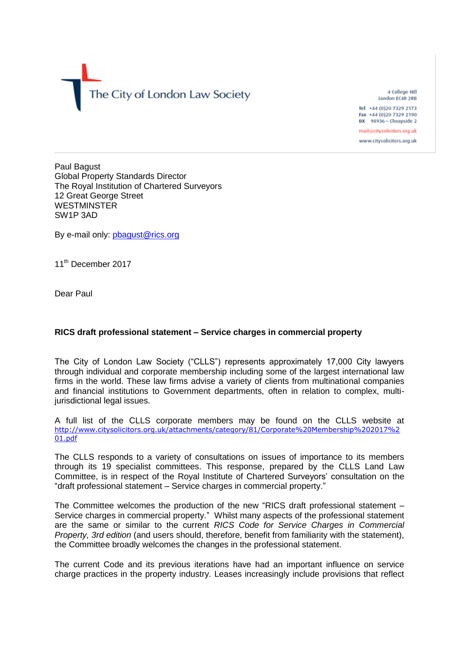The City of London Law Society

4 College Hill London EC4R 2RB Tel +44 (0)20 7329 2173

Fax +44 (0)20 7329 2190 DX 98936 - Cheapside 2

mail@citysolicitors.org.uk www.citysolicitors.org.uk

Paul Bagust Global Property Standards Director The Royal Institution of Chartered Surveyors 12 Great George Street WESTMINSTER SW1P 3AD

By e-mail only: [pbagust@rics.org](mailto:pbagust@rics.org)

11<sup>th</sup> December 2017

Dear Paul

## **RICS draft professional statement – Service charges in commercial property**

The City of London Law Society ("CLLS") represents approximately 17,000 City lawyers through individual and corporate membership including some of the largest international law firms in the world. These law firms advise a variety of clients from multinational companies and financial institutions to Government departments, often in relation to complex, multijurisdictional legal issues.

A full list of the CLLS corporate members may be found on the CLLS website at [http://www.citysolicitors.org.uk/attachments/category/81/Corporate%20Membership%202017%2](http://www.citysolicitors.org.uk/attachments/category/81/Corporate%20Membership%202017%201.pdf) [01.pdf](http://www.citysolicitors.org.uk/attachments/category/81/Corporate%20Membership%202017%201.pdf)

The CLLS responds to a variety of consultations on issues of importance to its members through its 19 specialist committees. This response, prepared by the CLLS Land Law Committee, is in respect of the Royal Institute of Chartered Surveyors' consultation on the "draft professional statement – Service charges in commercial property."

The Committee welcomes the production of the new "RICS draft professional statement – Service charges in commercial property." Whilst many aspects of the professional statement are the same or similar to the current *RICS Code for Service Charges in Commercial Property, 3rd edition* (and users should, therefore, benefit from familiarity with the statement), the Committee broadly welcomes the changes in the professional statement.

The current Code and its previous iterations have had an important influence on service charge practices in the property industry. Leases increasingly include provisions that reflect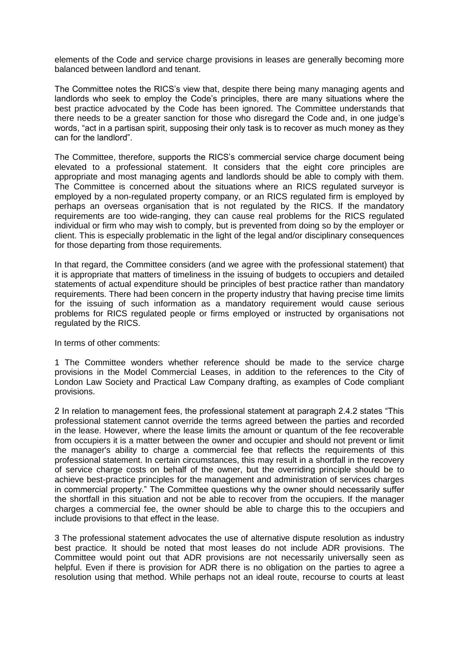elements of the Code and service charge provisions in leases are generally becoming more balanced between landlord and tenant.

The Committee notes the RICS's view that, despite there being many managing agents and landlords who seek to employ the Code's principles, there are many situations where the best practice advocated by the Code has been ignored. The Committee understands that there needs to be a greater sanction for those who disregard the Code and, in one judge's words, "act in a partisan spirit, supposing their only task is to recover as much money as they can for the landlord".

The Committee, therefore, supports the RICS's commercial service charge document being elevated to a professional statement. It considers that the eight core principles are appropriate and most managing agents and landlords should be able to comply with them. The Committee is concerned about the situations where an RICS regulated surveyor is employed by a non-regulated property company, or an RICS regulated firm is employed by perhaps an overseas organisation that is not regulated by the RICS. If the mandatory requirements are too wide-ranging, they can cause real problems for the RICS regulated individual or firm who may wish to comply, but is prevented from doing so by the employer or client. This is especially problematic in the light of the legal and/or disciplinary consequences for those departing from those requirements.

In that regard, the Committee considers (and we agree with the professional statement) that it is appropriate that matters of timeliness in the issuing of budgets to occupiers and detailed statements of actual expenditure should be principles of best practice rather than mandatory requirements. There had been concern in the property industry that having precise time limits for the issuing of such information as a mandatory requirement would cause serious problems for RICS regulated people or firms employed or instructed by organisations not regulated by the RICS.

In terms of other comments:

1 The Committee wonders whether reference should be made to the service charge provisions in the Model Commercial Leases, in addition to the references to the City of London Law Society and Practical Law Company drafting, as examples of Code compliant provisions.

2 In relation to management fees, the professional statement at paragraph 2.4.2 states "This professional statement cannot override the terms agreed between the parties and recorded in the lease. However, where the lease limits the amount or quantum of the fee recoverable from occupiers it is a matter between the owner and occupier and should not prevent or limit the manager's ability to charge a commercial fee that reflects the requirements of this professional statement. In certain circumstances, this may result in a shortfall in the recovery of service charge costs on behalf of the owner, but the overriding principle should be to achieve best-practice principles for the management and administration of services charges in commercial property." The Committee questions why the owner should necessarily suffer the shortfall in this situation and not be able to recover from the occupiers. If the manager charges a commercial fee, the owner should be able to charge this to the occupiers and include provisions to that effect in the lease.

3 The professional statement advocates the use of alternative dispute resolution as industry best practice. It should be noted that most leases do not include ADR provisions. The Committee would point out that ADR provisions are not necessarily universally seen as helpful. Even if there is provision for ADR there is no obligation on the parties to agree a resolution using that method. While perhaps not an ideal route, recourse to courts at least